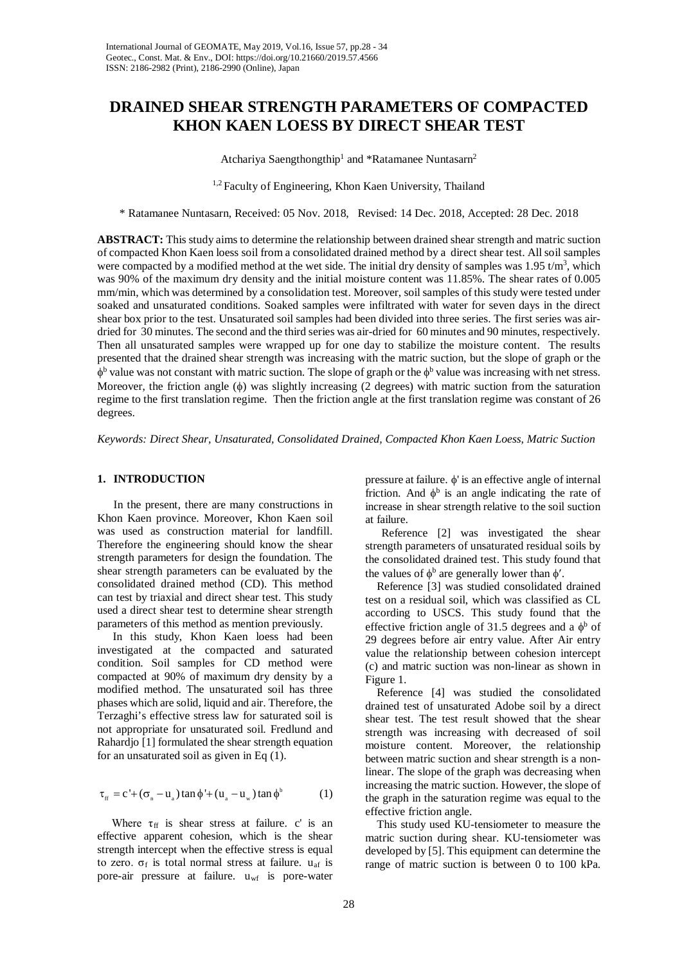# **DRAINED SHEAR STRENGTH PARAMETERS OF COMPACTED KHON KAEN LOESS BY DIRECT SHEAR TEST**

Atchariya Saengthongthip<sup>1</sup> and \*Ratamanee Nuntasarn<sup>2</sup>

<sup>1,2</sup> Faculty of Engineering, Khon Kaen University, Thailand

\* Ratamanee Nuntasarn, Received: 05 Nov. 2018, Revised: 14 Dec. 2018, Accepted: 28 Dec. 2018

**ABSTRACT:** This study aims to determine the relationship between drained shear strength and matric suction of compacted Khon Kaen loess soil from a consolidated drained method by a direct shear test. All soil samples were compacted by a modified method at the wet side. The initial dry density of samples was  $1.95 \text{ t/m}^3$ , which was 90% of the maximum dry density and the initial moisture content was 11.85%. The shear rates of 0.005 mm/min, which was determined by a consolidation test. Moreover, soil samples of this study were tested under soaked and unsaturated conditions. Soaked samples were infiltrated with water for seven days in the direct shear box prior to the test. Unsaturated soil samples had been divided into three series. The first series was airdried for 30 minutes. The second and the third series was air-dried for 60 minutes and 90 minutes, respectively. Then all unsaturated samples were wrapped up for one day to stabilize the moisture content. The results presented that the drained shear strength was increasing with the matric suction, but the slope of graph or the  $\phi^b$  value was not constant with matric suction. The slope of graph or the  $\phi^b$  value was increasing with net stress. Moreover, the friction angle (φ) was slightly increasing (2 degrees) with matric suction from the saturation regime to the first translation regime. Then the friction angle at the first translation regime was constant of 26 degrees.

*Keywords: Direct Shear, Unsaturated, Consolidated Drained, Compacted Khon Kaen Loess, Matric Suction*

#### **1. INTRODUCTION**

In the present, there are many constructions in Khon Kaen province. Moreover, Khon Kaen soil was used as construction material for landfill. Therefore the engineering should know the shear strength parameters for design the foundation. The shear strength parameters can be evaluated by the consolidated drained method (CD). This method can test by triaxial and direct shear test. This study used a direct shear test to determine shear strength parameters of this method as mention previously.

In this study, Khon Kaen loess had been investigated at the compacted and saturated condition. Soil samples for CD method were compacted at 90% of maximum dry density by a modified method. The unsaturated soil has three phases which are solid, liquid and air. Therefore, the Terzaghi's effective stress law for saturated soil is not appropriate for unsaturated soil. Fredlund and Rahardjo [1] formulated the shear strength equation for an unsaturated soil as given in Eq (1).

$$
\tau_{\text{ff}} = c' + (\sigma_{\text{n}} - u_{\text{a}}) \tan \phi' + (u_{\text{a}} - u_{\text{w}}) \tan \phi^{\text{b}} \tag{1}
$$

Where  $\tau_{ff}$  is shear stress at failure. c' is an effective apparent cohesion, which is the shear strength intercept when the effective stress is equal to zero.  $\sigma_f$  is total normal stress at failure.  $u_{af}$  is pore-air pressure at failure. uwf is pore-water

pressure at failure. φ' is an effective angle of internal friction. And  $\phi^b$  is an angle indicating the rate of increase in shear strength relative to the soil suction at failure.

Reference [2] was investigated the shear strength parameters of unsaturated residual soils by the consolidated drained test. This study found that the values of  $\phi^b$  are generally lower than  $\phi'$ .

 Reference [3] was studied consolidated drained test on a residual soil, which was classified as CL according to USCS. This study found that the effective friction angle of 31.5 degrees and a  $\phi^b$  of 29 degrees before air entry value. After Air entry value the relationship between cohesion intercept (c) and matric suction was non-linear as shown in Figure 1.

 Reference [4] was studied the consolidated drained test of unsaturated Adobe soil by a direct shear test. The test result showed that the shear strength was increasing with decreased of soil moisture content. Moreover, the relationship between matric suction and shear strength is a nonlinear. The slope of the graph was decreasing when increasing the matric suction. However, the slope of the graph in the saturation regime was equal to the effective friction angle.

 This study used KU-tensiometer to measure the matric suction during shear. KU-tensiometer was developed by [5]. This equipment can determine the range of matric suction is between 0 to 100 kPa.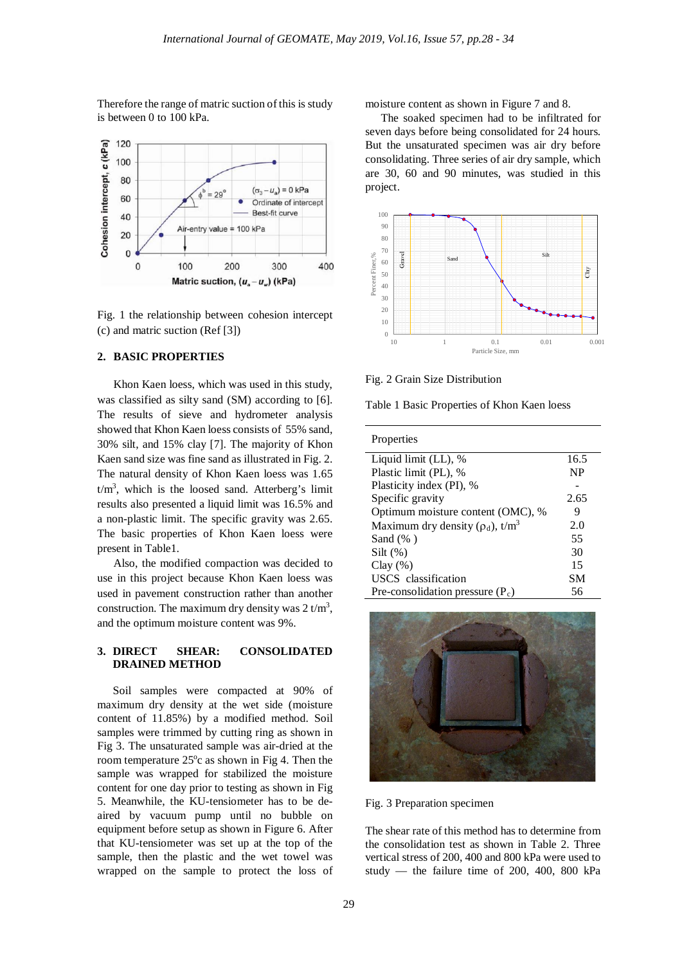Therefore the range of matric suction of this is study is between 0 to 100 kPa.



Fig. 1 the relationship between cohesion intercept (c) and matric suction (Ref [3])

### **2. BASIC PROPERTIES**

Khon Kaen loess, which was used in this study, was classified as silty sand (SM) according to [6]. The results of sieve and hydrometer analysis showed that Khon Kaen loess consists of 55% sand, 30% silt, and 15% clay [7]. The majority of Khon Kaen sand size was fine sand as illustrated in Fig. 2. The natural density of Khon Kaen loess was 1.65  $t/m<sup>3</sup>$ , which is the loosed sand. Atterberg's limit results also presented a liquid limit was 16.5% and a non-plastic limit. The specific gravity was 2.65. The basic properties of Khon Kaen loess were present in Table1.

Also, the modified compaction was decided to use in this project because Khon Kaen loess was used in pavement construction rather than another construction. The maximum dry density was  $2 t/m<sup>3</sup>$ , and the optimum moisture content was 9%.

### **3. DIRECT SHEAR: CONSOLIDATED DRAINED METHOD**

Soil samples were compacted at 90% of maximum dry density at the wet side (moisture content of 11.85%) by a modified method. Soil samples were trimmed by cutting ring as shown in Fig 3. The unsaturated sample was air-dried at the room temperature  $25^{\circ}$ c as shown in Fig 4. Then the sample was wrapped for stabilized the moisture content for one day prior to testing as shown in Fig 5. Meanwhile, the KU-tensiometer has to be deaired by vacuum pump until no bubble on equipment before setup as shown in Figure 6. After that KU-tensiometer was set up at the top of the sample, then the plastic and the wet towel was wrapped on the sample to protect the loss of

moisture content as shown in Figure 7 and 8.

The soaked specimen had to be infiltrated for seven days before being consolidated for 24 hours. But the unsaturated specimen was air dry before consolidating. Three series of air dry sample, which are 30, 60 and 90 minutes, was studied in this project.



Fig. 2 Grain Size Distribution

Table 1 Basic Properties of Khon Kaen loess

| Properties                                         |           |
|----------------------------------------------------|-----------|
| Liquid limit (LL), %                               | 16.5      |
| Plastic limit (PL), %                              | <b>NP</b> |
| Plasticity index (PI), %                           |           |
| Specific gravity                                   | 2.65      |
| Optimum moisture content (OMC), %                  | 9         |
| Maximum dry density ( $\rho_d$ ), t/m <sup>3</sup> | 2.0       |
| Sand $(\%$ )                                       | 55        |
| $Silt$ (%)                                         | 30        |
| Clay(%)                                            | 15        |
| USCS classification                                | SМ        |
| Pre-consolidation pressure $(P_c)$                 | 56        |



Fig. 3 Preparation specimen

The shear rate of this method has to determine from the consolidation test as shown in Table 2. Three vertical stress of 200, 400 and 800 kPa were used to study — the failure time of 200, 400, 800 kPa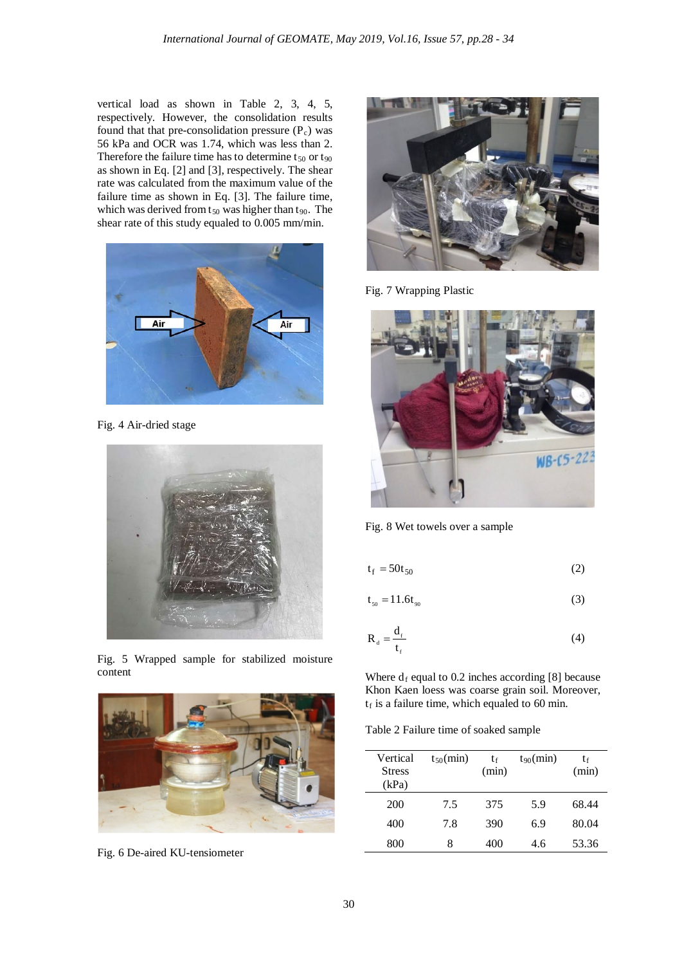vertical load as shown in Table 2, 3, 4, 5, respectively. However, the consolidation results found that that pre-consolidation pressure  $(P_c)$  was 56 kPa and OCR was 1.74, which was less than 2. Therefore the failure time has to determine  $t_{50}$  or  $t_{90}$ as shown in Eq. [2] and [3], respectively. The shear rate was calculated from the maximum value of the failure time as shown in Eq. [3]. The failure time, which was derived from  $t_{50}$  was higher than  $t_{90}$ . The shear rate of this study equaled to 0.005 mm/min.



Fig. 4 Air-dried stage



Fig. 5 Wrapped sample for stabilized moisture content



Fig. 6 De-aired KU-tensiometer



Fig. 7 Wrapping Plastic



Fig. 8 Wet towels over a sample

$$
t_f = 50t_{50} \tag{2}
$$

$$
t_{50} = 11.6t_{90} \tag{3}
$$

$$
R_{d} = \frac{d_{f}}{t_{f}}
$$
 (4)

Where  $d_f$  equal to 0.2 inches according [8] because Khon Kaen loess was coarse grain soil. Moreover,  $t_f$  is a failure time, which equaled to 60 min.

Table 2 Failure time of soaked sample

| Vertical<br><b>Stress</b><br>(kPa) | $t_{50}$ (min) | tf<br>(min) | $t_{90}$ (min) | tғ<br>(min) |
|------------------------------------|----------------|-------------|----------------|-------------|
| 200                                | 7.5            | 375         | 5.9            | 68.44       |
| 400                                | 7.8            | 390         | 6.9            | 80.04       |
| 800                                | 8              | 400         | 4.6            | 53.36       |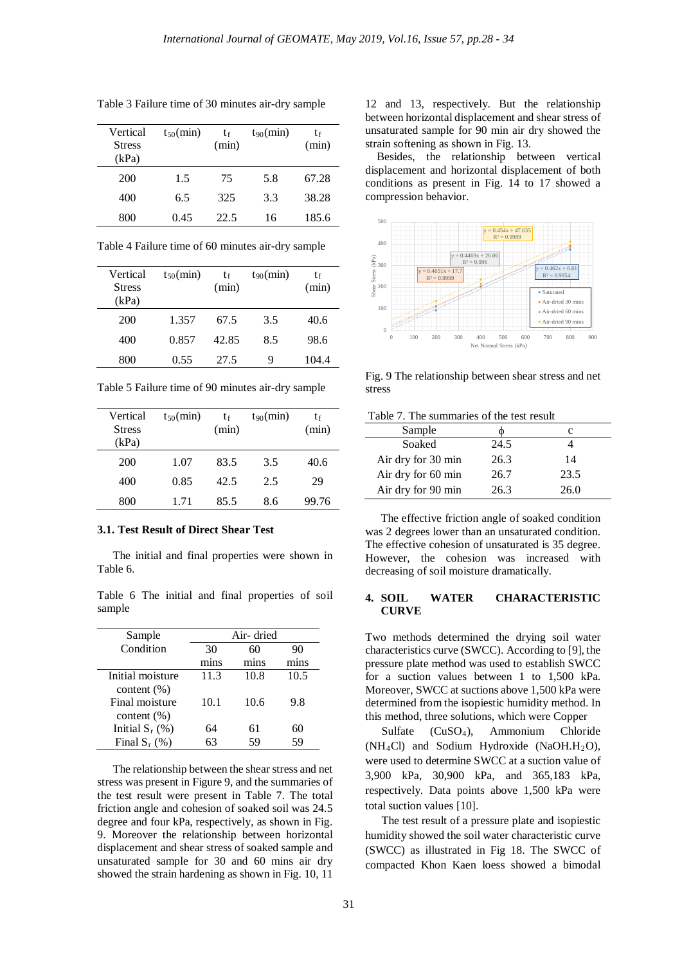| Vertical<br><b>Stress</b><br>(kPa) | $t_{50}$ (min) | tŧ<br>(min) | $t_{90}$ (min) | tf<br>(min) |
|------------------------------------|----------------|-------------|----------------|-------------|
| 200                                | 1.5            | 75          | 5.8            | 67.28       |
| 400                                | 6.5            | 325         | 3.3            | 38.28       |
| 800                                | 0.45           | 22.5        | 16             | 185.6       |

Table 3 Failure time of 30 minutes air-dry sample

Table 4 Failure time of 60 minutes air-dry sample

| Vertical<br><b>Stress</b><br>(kPa) | $t_{50}$ (min) | tŧ<br>(min) | $t_{90}$ (min) | tғ<br>(min) |
|------------------------------------|----------------|-------------|----------------|-------------|
| 200                                | 1.357          | 67.5        | 3.5            | 40.6        |
| 400                                | 0.857          | 42.85       | 8.5            | 98.6        |
| 800                                | 0.55           | 27.5        | 9              | 104.4       |

Table 5 Failure time of 90 minutes air-dry sample

| Vertical<br><b>Stress</b><br>(kPa) | $t_{50}$ (min) | tf<br>(min) | $t_{90}$ (min) | tf<br>(min) |
|------------------------------------|----------------|-------------|----------------|-------------|
| 200                                | 1.07           | 83.5        | 3.5            | 40.6        |
| 400                                | 0.85           | 42.5        | 2.5            | 29          |
| 800                                | 1.71           | 85.5        | 8.6            | 99.76       |

#### **3.1. Test Result of Direct Shear Test**

The initial and final properties were shown in Table 6.

Table 6 The initial and final properties of soil sample

| Sample            | Air- dried |      |      |
|-------------------|------------|------|------|
| Condition         | 30         | 60   | 90   |
|                   | mins       | mins | mins |
| Initial moisture  | 11.3       | 10.8 | 10.5 |
| content $(\%)$    |            |      |      |
| Final moisture    | 10.1       | 10.6 | 9.8  |
| content $(\% )$   |            |      |      |
| Initial $S_r$ (%) | 64         | 61   | 60   |
| Final $S_r$ (%)   |            | 59   | 59   |

The relationship between the shear stress and net stress was present in Figure 9, and the summaries of the test result were present in Table 7. The total friction angle and cohesion of soaked soil was 24.5 degree and four kPa, respectively, as shown in Fig. 9. Moreover the relationship between horizontal displacement and shear stress of soaked sample and unsaturated sample for 30 and 60 mins air dry showed the strain hardening as shown in Fig. 10, 11

12 and 13, respectively. But the relationship between horizontal displacement and shear stress of unsaturated sample for 90 min air dry showed the strain softening as shown in Fig. 13.

 Besides, the relationship between vertical displacement and horizontal displacement of both conditions as present in Fig. 14 to 17 showed a compression behavior.



Fig. 9 The relationship between shear stress and net stress

Table 7. The summaries of the test result

| Sample             |      | с    |
|--------------------|------|------|
| Soaked             | 24.5 |      |
| Air dry for 30 min | 26.3 | 14   |
| Air dry for 60 min | 26.7 | 23.5 |
| Air dry for 90 min | 26.3 | 26.0 |

The effective friction angle of soaked condition was 2 degrees lower than an unsaturated condition. The effective cohesion of unsaturated is 35 degree. However, the cohesion was increased with decreasing of soil moisture dramatically.

#### **4. SOIL WATER CHARACTERISTIC CURVE**

Two methods determined the drying soil water characteristics curve (SWCC). According to [9], the pressure plate method was used to establish SWCC for a suction values between 1 to 1,500 kPa. Moreover, SWCC at suctions above 1,500 kPa were determined from the isopiestic humidity method. In this method, three solutions, which were Copper

Sulfate (CuSO4), Ammonium Chloride  $(NH<sub>4</sub>Cl)$  and Sodium Hydroxide (NaOH.H<sub>2</sub>O), were used to determine SWCC at a suction value of 3,900 kPa, 30,900 kPa, and 365,183 kPa, respectively. Data points above 1,500 kPa were total suction values [10].

The test result of a pressure plate and isopiestic humidity showed the soil water characteristic curve (SWCC) as illustrated in Fig 18. The SWCC of compacted Khon Kaen loess showed a bimodal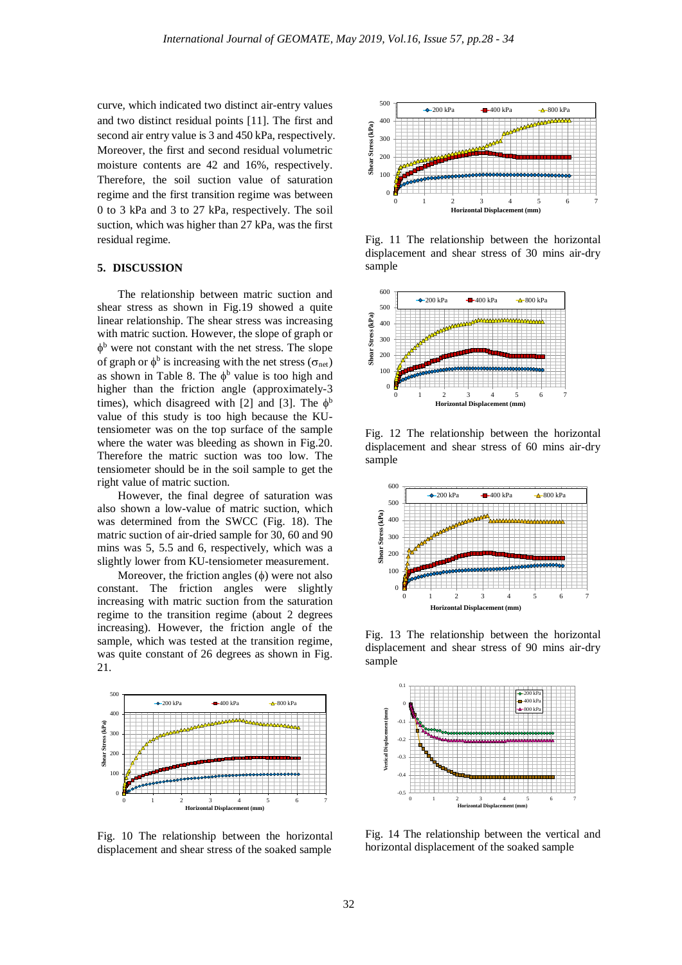curve, which indicated two distinct air-entry values and two distinct residual points [11]. The first and second air entry value is 3 and 450 kPa, respectively. Moreover, the first and second residual volumetric moisture contents are 42 and 16%, respectively. Therefore, the soil suction value of saturation regime and the first transition regime was between 0 to 3 kPa and 3 to 27 kPa, respectively. The soil suction, which was higher than 27 kPa, was the first residual regime.

#### **5. DISCUSSION**

The relationship between matric suction and shear stress as shown in Fig.19 showed a quite linear relationship. The shear stress was increasing with matric suction. However, the slope of graph or  $\phi^b$  were not constant with the net stress. The slope of graph or  $\phi^b$  is increasing with the net stress ( $\sigma_{\text{net}}$ ) as shown in Table 8. The  $\phi^b$  value is too high and higher than the friction angle (approximately-3 times), which disagreed with [2] and [3]. The  $\phi^b$ value of this study is too high because the KUtensiometer was on the top surface of the sample where the water was bleeding as shown in Fig.20. Therefore the matric suction was too low. The tensiometer should be in the soil sample to get the right value of matric suction.

However, the final degree of saturation was also shown a low-value of matric suction, which was determined from the SWCC (Fig. 18). The matric suction of air-dried sample for 30, 60 and 90 mins was 5, 5.5 and 6, respectively, which was a slightly lower from KU-tensiometer measurement.

Moreover, the friction angles  $(\phi)$  were not also constant. The friction angles were slightly increasing with matric suction from the saturation regime to the transition regime (about 2 degrees increasing). However, the friction angle of the sample, which was tested at the transition regime, was quite constant of 26 degrees as shown in Fig. 21.



Fig. 10 The relationship between the horizontal displacement and shear stress of the soaked sample



Fig. 11 The relationship between the horizontal displacement and shear stress of 30 mins air-dry sample



Fig. 12 The relationship between the horizontal displacement and shear stress of 60 mins air-dry sample



Fig. 13 The relationship between the horizontal displacement and shear stress of 90 mins air-dry sample



Fig. 14 The relationship between the vertical and horizontal displacement of the soaked sample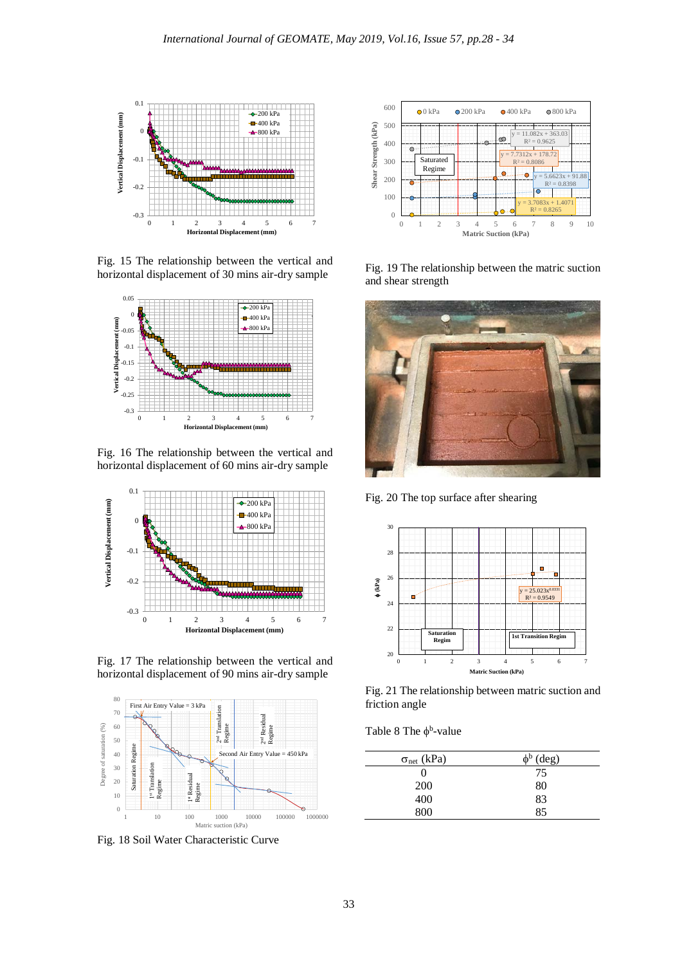

Fig. 15 The relationship between the vertical and horizontal displacement of 30 mins air-dry sample



Fig. 16 The relationship between the vertical and horizontal displacement of 60 mins air-dry sample



Fig. 17 The relationship between the vertical and horizontal displacement of 90 mins air-dry sample



Fig. 18 Soil Water Characteristic Curve



Fig. 19 The relationship between the matric suction and shear strength



Fig. 20 The top surface after shearing



Fig. 21 The relationship between matric suction and friction angle

Table 8 The  $\phi^b$ -value

| $\sigma_{net}$ (kPa) | $\phi^b$ (deg) |
|----------------------|----------------|
|                      | 75             |
| 200                  | 80             |
| 400                  | 83             |
| 800                  | 85             |